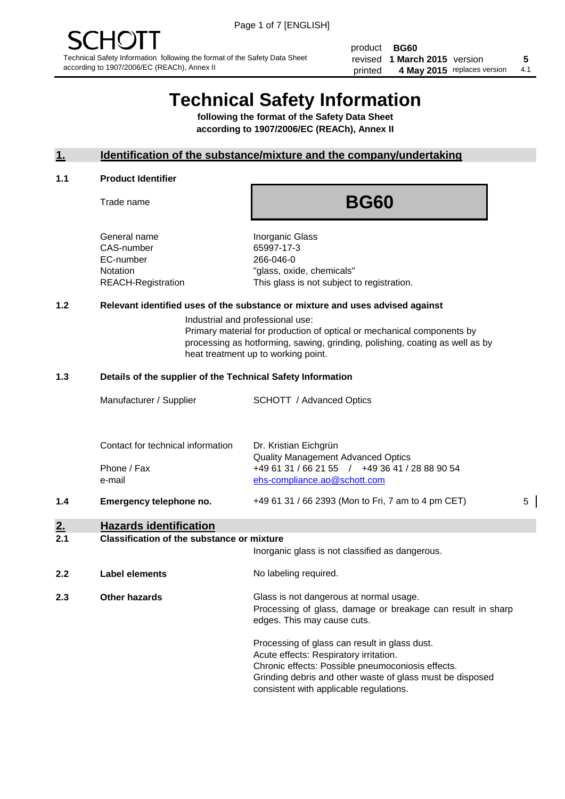product **BG60** revised **5 1 March 2015** version printed 4 May 2015 replaces version 4.1

# **Technical Safety Information**

**following the format of the Safety Data Sheet according to 1907/2006/EC (REACh), Annex II**

#### **1. Identification of the substance/mixture and the company/undertaking**

#### **1.1 Product Identifier**

Trade name

## **BG60**

General name **Inorganic Glass** CAS-number 65997-17-3 EC-number 266-046-0

Notation "glass, oxide, chemicals" REACH-Registration This glass is not subject to registration.

#### **1.2 Relevant identified uses of the substance or mixture and uses advised against**

Industrial and professional use: Primary material for production of optical or mechanical components by

processing as hotforming, sawing, grinding, polishing, coating as well as by heat treatment up to working point.

#### **1.3 Details of the supplier of the Technical Safety Information**

|     | Manufacturer / Supplier           | <b>SCHOTT</b> / Advanced Optics                                                |   |
|-----|-----------------------------------|--------------------------------------------------------------------------------|---|
|     |                                   |                                                                                |   |
|     | Contact for technical information | Dr. Kristian Eichgrün<br><b>Quality Management Advanced Optics</b>             |   |
|     | Phone / Fax<br>e-mail             | +49 61 31 / 66 21 55 / +49 36 41 / 28 88 90 54<br>ehs-compliance.ao@schott.com |   |
| 1.4 | Emergency telephone no.           | +49 61 31 / 66 2393 (Mon to Fri, 7 am to 4 pm CET)                             | 5 |
| 2.  | <b>Hazards identification</b>     |                                                                                |   |

#### **2.1 Classification of the substance or mixture**

| z. I | Glassification of the substance of imagine | Inorganic glass is not classified as dangerous.                                                                                                                                                                                                      |
|------|--------------------------------------------|------------------------------------------------------------------------------------------------------------------------------------------------------------------------------------------------------------------------------------------------------|
| 2.2  | Label elements                             | No labeling required.                                                                                                                                                                                                                                |
| 2.3  | <b>Other hazards</b>                       | Glass is not dangerous at normal usage.<br>Processing of glass, damage or breakage can result in sharp<br>edges. This may cause cuts.                                                                                                                |
|      |                                            | Processing of glass can result in glass dust.<br>Acute effects: Respiratory irritation.<br>Chronic effects: Possible pneumoconiosis effects.<br>Grinding debris and other waste of glass must be disposed<br>consistent with applicable regulations. |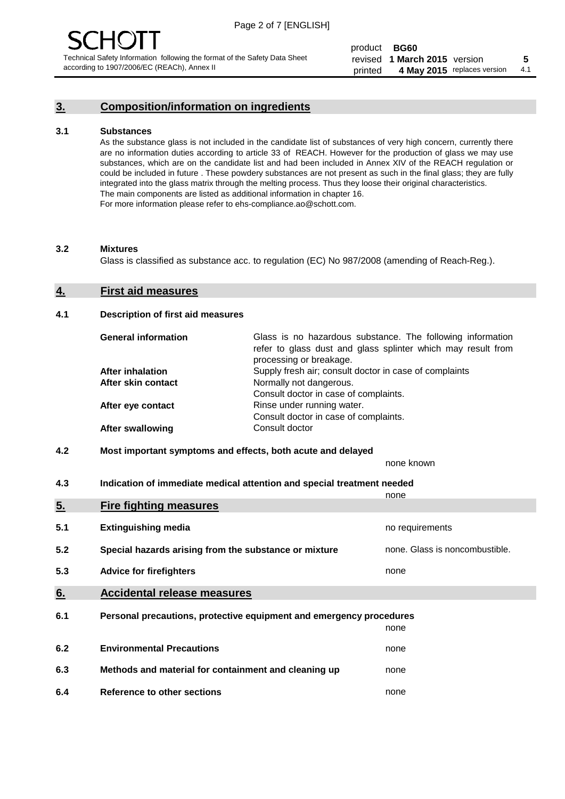### **3. Composition/information on ingredients**

#### **3.1 Substances**

As the substance glass is not included in the candidate list of substances of very high concern, currently there are no information duties according to article 33 of REACH. However for the production of glass we may use substances, which are on the candidate list and had been included in Annex XIV of the REACH regulation or could be included in future . These powdery substances are not present as such in the final glass; they are fully integrated into the glass matrix through the melting process. Thus they loose their original characteristics. The main components are listed as additional information in chapter 16. For more information please refer to ehs-compliance.ao@schott.com.

#### **3.2 Mixtures**

Glass is classified as substance acc. to regulation (EC) No 987/2008 (amending of Reach-Reg.).

#### **4. First aid measures**

#### **4.1 Description of first aid measures**

| <b>General information</b> | Glass is no hazardous substance. The following information<br>refer to glass dust and glass splinter which may result from<br>processing or breakage. |
|----------------------------|-------------------------------------------------------------------------------------------------------------------------------------------------------|
| <b>After inhalation</b>    | Supply fresh air; consult doctor in case of complaints                                                                                                |
| After skin contact         | Normally not dangerous.                                                                                                                               |
|                            | Consult doctor in case of complaints.                                                                                                                 |
| After eye contact          | Rinse under running water.                                                                                                                            |
|                            | Consult doctor in case of complaints.                                                                                                                 |
| <b>After swallowing</b>    | Consult doctor                                                                                                                                        |

#### **4.2 Most important symptoms and effects, both acute and delayed**

none known

**4.3 Indication of immediate medical attention and special treatment needed** 

|     |                                                                     | none                           |
|-----|---------------------------------------------------------------------|--------------------------------|
| 5.  | <b>Fire fighting measures</b>                                       |                                |
| 5.1 | <b>Extinguishing media</b>                                          | no requirements                |
| 5.2 | Special hazards arising from the substance or mixture               | none. Glass is noncombustible. |
| 5.3 | <b>Advice for firefighters</b>                                      | none                           |
| 6.  | <b>Accidental release measures</b>                                  |                                |
| 6.1 | Personal precautions, protective equipment and emergency procedures |                                |
|     |                                                                     | none                           |
| 6.2 | <b>Environmental Precautions</b>                                    | none                           |
| 6.3 | Methods and material for containment and cleaning up                | none                           |
| 6.4 | Reference to other sections                                         | none                           |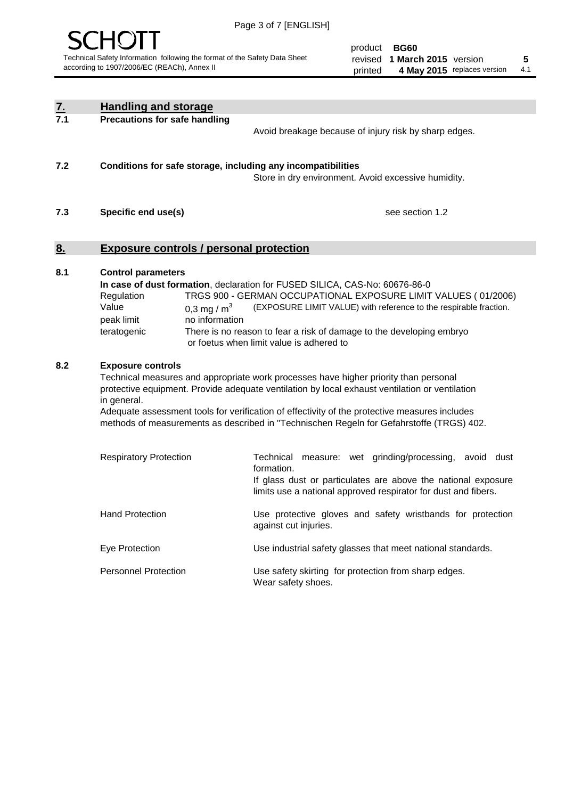

| <u>7.</u><br>7.1                                                                                                                                                                                                                                                                                                                                                                                                                      | <b>Handling and storage</b>                                                                    |                                                                                                                                                                                                                                                                                                                                                          |
|---------------------------------------------------------------------------------------------------------------------------------------------------------------------------------------------------------------------------------------------------------------------------------------------------------------------------------------------------------------------------------------------------------------------------------------|------------------------------------------------------------------------------------------------|----------------------------------------------------------------------------------------------------------------------------------------------------------------------------------------------------------------------------------------------------------------------------------------------------------------------------------------------------------|
|                                                                                                                                                                                                                                                                                                                                                                                                                                       | <b>Precautions for safe handling</b>                                                           | Avoid breakage because of injury risk by sharp edges.                                                                                                                                                                                                                                                                                                    |
| 7.2                                                                                                                                                                                                                                                                                                                                                                                                                                   |                                                                                                | Conditions for safe storage, including any incompatibilities<br>Store in dry environment. Avoid excessive humidity.                                                                                                                                                                                                                                      |
| 7.3                                                                                                                                                                                                                                                                                                                                                                                                                                   | Specific end use(s)                                                                            | see section 1.2                                                                                                                                                                                                                                                                                                                                          |
| <u>8.</u>                                                                                                                                                                                                                                                                                                                                                                                                                             | <b>Exposure controls / personal protection</b>                                                 |                                                                                                                                                                                                                                                                                                                                                          |
| 8.1                                                                                                                                                                                                                                                                                                                                                                                                                                   | <b>Control parameters</b><br>Regulation<br>Value<br>0,3 mg / $m3$<br>peak limit<br>teratogenic | In case of dust formation, declaration for FUSED SILICA, CAS-No: 60676-86-0<br>TRGS 900 - GERMAN OCCUPATIONAL EXPOSURE LIMIT VALUES (01/2006)<br>(EXPOSURE LIMIT VALUE) with reference to the respirable fraction.<br>no information<br>There is no reason to fear a risk of damage to the developing embryo<br>or foetus when limit value is adhered to |
| 8.2<br><b>Exposure controls</b><br>Technical measures and appropriate work processes have higher priority than personal<br>protective equipment. Provide adequate ventilation by local exhaust ventilation or ventilation<br>in general.<br>Adequate assessment tools for verification of effectivity of the protective measures includes<br>methods of measurements as described in "Technischen Regeln for Gefahrstoffe (TRGS) 402. |                                                                                                |                                                                                                                                                                                                                                                                                                                                                          |
|                                                                                                                                                                                                                                                                                                                                                                                                                                       | <b>Respiratory Protection</b>                                                                  | Technical<br>measure: wet grinding/processing, avoid dust<br>formation.<br>If glass dust or particulates are above the national exposure<br>limits use a national approved respirator for dust and fibers.                                                                                                                                               |
|                                                                                                                                                                                                                                                                                                                                                                                                                                       | <b>Hand Protection</b>                                                                         | Use protective gloves and safety wristbands for protection<br>against cut injuries.                                                                                                                                                                                                                                                                      |
|                                                                                                                                                                                                                                                                                                                                                                                                                                       | Eye Protection                                                                                 | Use industrial safety glasses that meet national standards.                                                                                                                                                                                                                                                                                              |
|                                                                                                                                                                                                                                                                                                                                                                                                                                       | <b>Personnel Protection</b>                                                                    | Use safety skirting for protection from sharp edges.<br>Wear safety shoes.                                                                                                                                                                                                                                                                               |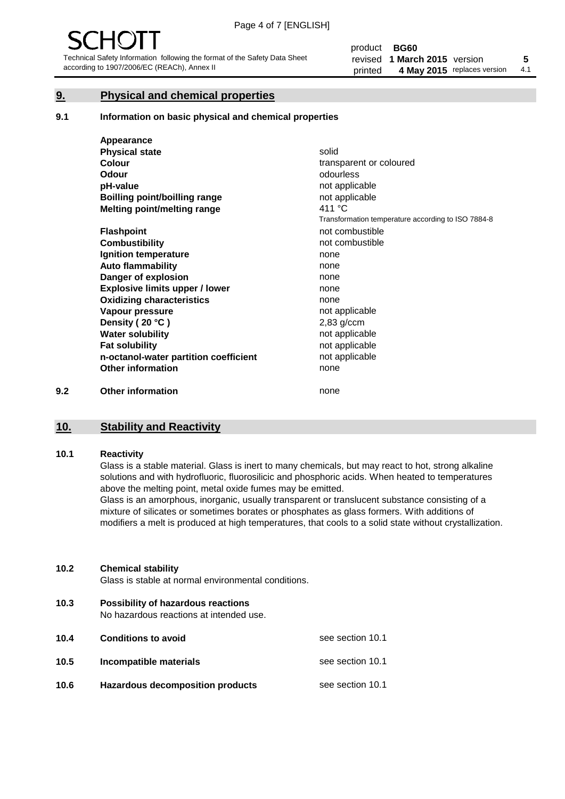#### **9. Physical and chemical properties**

#### **9.1 Information on basic physical and chemical properties**

|     | Appearance                            |                                                    |
|-----|---------------------------------------|----------------------------------------------------|
|     | <b>Physical state</b>                 | solid                                              |
|     | <b>Colour</b>                         | transparent or coloured                            |
|     | <b>Odour</b>                          | odourless                                          |
|     | pH-value                              | not applicable                                     |
|     | Boilling point/boilling range         | not applicable                                     |
|     | Melting point/melting range           | 411 °C                                             |
|     |                                       | Transformation temperature according to ISO 7884-8 |
|     | <b>Flashpoint</b>                     | not combustible                                    |
|     | <b>Combustibility</b>                 | not combustible                                    |
|     | Ignition temperature                  | none                                               |
|     | <b>Auto flammability</b>              | none                                               |
|     | Danger of explosion                   | none                                               |
|     | <b>Explosive limits upper / lower</b> | none                                               |
|     | <b>Oxidizing characteristics</b>      | none                                               |
|     | Vapour pressure                       | not applicable                                     |
|     | Density (20 °C)                       | $2,83$ g/ccm                                       |
|     | <b>Water solubility</b>               | not applicable                                     |
|     | <b>Fat solubility</b>                 | not applicable                                     |
|     | n-octanol-water partition coefficient | not applicable                                     |
|     | <b>Other information</b>              | none                                               |
| 9.2 | <b>Other information</b>              | none                                               |

#### **10. Stability and Reactivity**

#### **10.1 Reactivity**

Glass is a stable material. Glass is inert to many chemicals, but may react to hot, strong alkaline solutions and with hydrofluoric, fluorosilicic and phosphoric acids. When heated to temperatures above the melting point, metal oxide fumes may be emitted.

Glass is an amorphous, inorganic, usually transparent or translucent substance consisting of a mixture of silicates or sometimes borates or phosphates as glass formers. With additions of modifiers a melt is produced at high temperatures, that cools to a solid state without crystallization.

#### **10.2 Chemical stability**

Glass is stable at normal environmental conditions.

**10.3 Possibility of hazardous reactions** 

No hazardous reactions at intended use.

| 10.4 | <b>Conditions to avoid</b>              | see section 10.1 |
|------|-----------------------------------------|------------------|
| 10.5 | Incompatible materials                  | see section 10.1 |
| 10.6 | <b>Hazardous decomposition products</b> | see section 10.1 |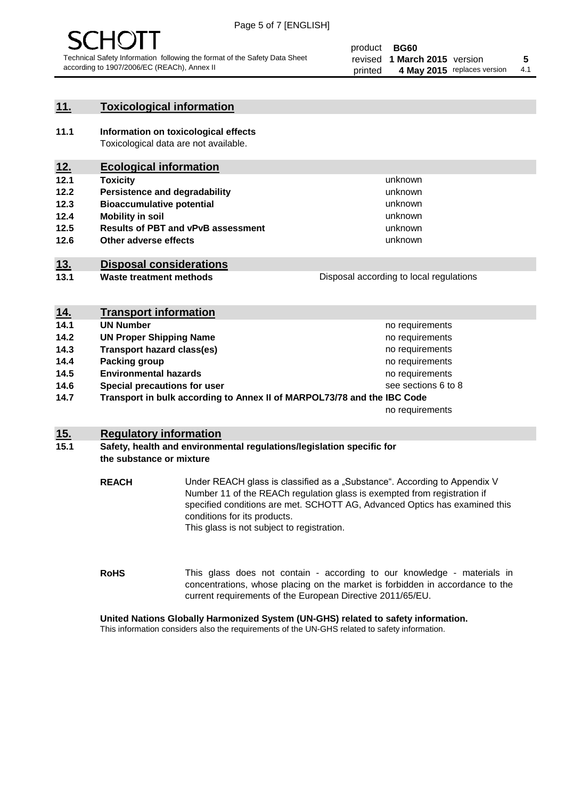

#### **11. Toxicological information**

**11.1 Information on toxicological effects** Toxicological data are not available.

### **12. Ecological information**

- **12.1 Toxicity**
- **12.2 Persistence and degradability**
- **12.3 Bioaccumulative potential**
- **12.4 Mobility in soil**
- **12.5 Results of PBT and vPvB assessment**
- **12.6 Other adverse effects**

#### **13. Disposal considerations**

**13.1 Waste treatment methods**

Disposal according to local regulations

unknown unknown unknown unknown

unknown unknown

| <u>14.</u> | <b>Transport information</b>                                            |                     |
|------------|-------------------------------------------------------------------------|---------------------|
| 14.1       | <b>UN Number</b>                                                        | no requirements     |
| 14.2       | <b>UN Proper Shipping Name</b>                                          | no requirements     |
| 14.3       | <b>Transport hazard class(es)</b>                                       | no requirements     |
| 14.4       | Packing group                                                           | no requirements     |
| 14.5       | <b>Environmental hazards</b>                                            | no requirements     |
| 14.6       | Special precautions for user                                            | see sections 6 to 8 |
| 14.7       | Transport in bulk according to Annex II of MARPOL73/78 and the IBC Code |                     |
|            |                                                                         | no requirements     |

#### **15. Regulatory information**

#### **15.1 Safety, health and environmental regulations/legislation specific for the substance or mixture**

**REACH** Under REACH glass is classified as a "Substance". According to Appendix V Number 11 of the REACh regulation glass is exempted from registration if specified conditions are met. SCHOTT AG, Advanced Optics has examined this conditions for its products. This glass is not subject to registration.

**RoHS** This glass does not contain - according to our knowledge - materials in concentrations, whose placing on the market is forbidden in accordance to the current requirements of the European Directive 2011/65/EU.

#### **United Nations Globally Harmonized System (UN-GHS) related to safety information.**

This information considers also the requirements of the UN-GHS related to safety information.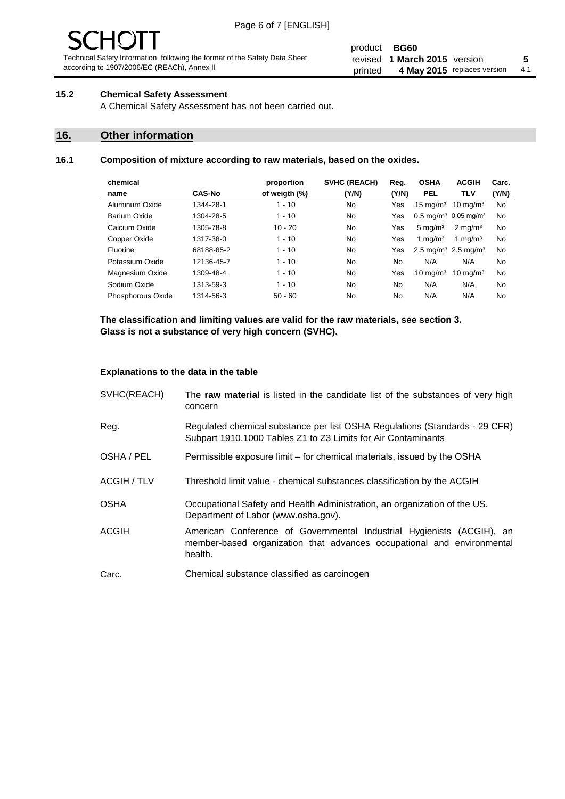# - JF

Technical Safety Information following the format of the Safety Data Sheet according to 1907/2006/EC (REACh), Annex II

#### product **BG60** revised **5 1 March 2015** version printed 4 May 2015 replaces version 4.1

#### **15.2 Chemical Safety Assessment**

A Chemical Safety Assessment has not been carried out.

#### **16. Other information**

#### **16.1 Composition of mixture according to raw materials, based on the oxides.**

| chemical          |               | proportion    | <b>SVHC (REACH)</b> | Reg.  | <b>OSHA</b>                                 | <b>ACGIH</b>                                | Carc. |
|-------------------|---------------|---------------|---------------------|-------|---------------------------------------------|---------------------------------------------|-------|
| name              | <b>CAS-No</b> | of weigth (%) | (Y/N)               | (Y/N) | <b>PEL</b>                                  | <b>TLV</b>                                  | (Y/N) |
| Aluminum Oxide    | 1344-28-1     | $1 - 10$      | No                  | Yes   | $15 \text{ mg/m}^3$                         | $10 \text{ ma/m}^3$                         | No    |
| Barium Oxide      | 1304-28-5     | $1 - 10$      | No                  | Yes   |                                             | $0.5 \text{ mg/m}^3$ 0.05 mg/m <sup>3</sup> | No    |
| Calcium Oxide     | 1305-78-8     | $10 - 20$     | No                  | Yes   | $5 \text{ mg/m}^3$                          | $2 \text{ ma/m}^3$                          | No    |
| Copper Oxide      | 1317-38-0     | $1 - 10$      | No                  | Yes   | 1 mg/m $3$                                  | 1 mg/m $3$                                  | No    |
| Fluorine          | 68188-85-2    | $1 - 10$      | No                  | Yes   | 2.5 mg/m <sup>3</sup> 2.5 mg/m <sup>3</sup> |                                             | No    |
| Potassium Oxide   | 12136-45-7    | $1 - 10$      | No                  | No    | N/A                                         | N/A                                         | No    |
| Magnesium Oxide   | 1309-48-4     | $1 - 10$      | No                  | Yes   | $10 \text{ mg/m}^3$                         | $10 \text{ mg/m}^3$                         | No    |
| Sodium Oxide      | 1313-59-3     | $1 - 10$      | No                  | No    | N/A                                         | N/A                                         | No    |
| Phosphorous Oxide | 1314-56-3     | $50 - 60$     | No                  | No    | N/A                                         | N/A                                         | No    |

**The classification and limiting values are valid for the raw materials, see section 3. Glass is not a substance of very high concern (SVHC).**

#### **Explanations to the data in the table**

| SVHC(REACH)        | The raw material is listed in the candidate list of the substances of very high<br>concern                                                                 |
|--------------------|------------------------------------------------------------------------------------------------------------------------------------------------------------|
| Reg.               | Regulated chemical substance per list OSHA Regulations (Standards - 29 CFR)<br>Subpart 1910.1000 Tables Z1 to Z3 Limits for Air Contaminants               |
| OSHA / PEL         | Permissible exposure limit – for chemical materials, issued by the OSHA                                                                                    |
| <b>ACGIH / TLV</b> | Threshold limit value - chemical substances classification by the ACGIH                                                                                    |
| <b>OSHA</b>        | Occupational Safety and Health Administration, an organization of the US.<br>Department of Labor (www.osha.gov).                                           |
| ACGIH              | American Conference of Governmental Industrial Hygienists (ACGIH), an<br>member-based organization that advances occupational and environmental<br>health. |
| Carc.              | Chemical substance classified as carcinogen                                                                                                                |